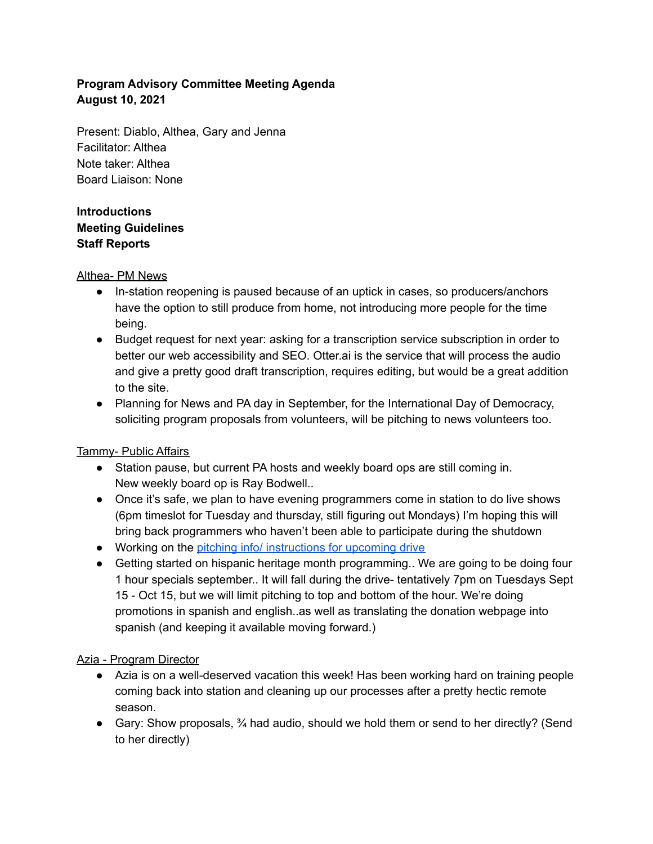# **Program Advisory Committee Meeting Agenda August 10, 2021**

Present: Diablo, Althea, Gary and Jenna Facilitator: Althea Note taker: Althea Board Liaison: None

## **Introductions Meeting Guidelines Staff Reports**

## Althea- PM News

- In-station reopening is paused because of an uptick in cases, so producers/anchors have the option to still produce from home, not introducing more people for the time being.
- Budget request for next year: asking for a transcription service subscription in order to better our web accessibility and SEO. Otter.ai is the service that will process the audio and give a pretty good draft transcription, requires editing, but would be a great addition to the site.
- Planning for News and PA day in September, for the International Day of Democracy, soliciting program proposals from volunteers, will be pitching to news volunteers too.

## Tammy- Public Affairs

- Station pause, but current PA hosts and weekly board ops are still coming in. New weekly board op is Ray Bodwell..
- Once it's safe, we plan to have evening programmers come in station to do live shows (6pm timeslot for Tuesday and thursday, still figuring out Mondays) I'm hoping this will bring back programmers who haven't been able to participate during the shutdown
- Working on the pitching info/ [instructions](https://docs.google.com/document/d/1j6wZwA66eMZUtusCkEeyfF2QZSYrZWrFQGyhPc_Nx9c/edit) for upcoming drive
- Getting started on hispanic heritage month programming.. We are going to be doing four 1 hour specials september.. It will fall during the drive- tentatively 7pm on Tuesdays Sept 15 - Oct 15, but we will limit pitching to top and bottom of the hour. We're doing promotions in spanish and english..as well as translating the donation webpage into spanish (and keeping it available moving forward.)

## Azia - Program Director

- Azia is on a well-deserved vacation this week! Has been working hard on training people coming back into station and cleaning up our processes after a pretty hectic remote season.
- Gary: Show proposals,  $\frac{3}{4}$  had audio, should we hold them or send to her directly? (Send to her directly)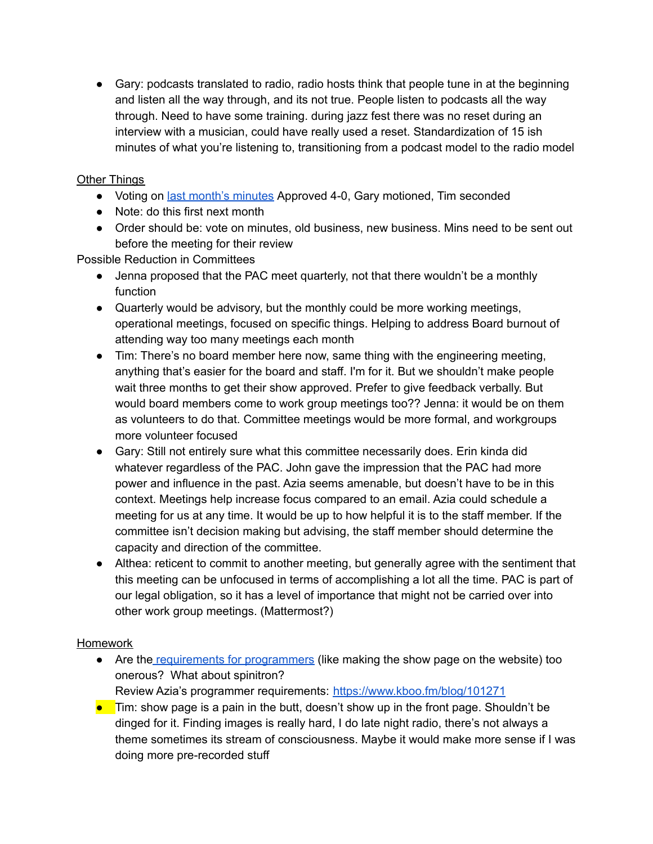● Gary: podcasts translated to radio, radio hosts think that people tune in at the beginning and listen all the way through, and its not true. People listen to podcasts all the way through. Need to have some training. during jazz fest there was no reset during an interview with a musician, could have really used a reset. Standardization of 15 ish minutes of what you're listening to, transitioning from a podcast model to the radio model

## Other Things

- Voting on last month's [minutes](https://docs.google.com/document/d/1Hjqjv4VWZBM_6icLuNa6cLj2UQh49T5OpvVxS7pGCfI/edit) Approved 4-0, Gary motioned, Tim seconded
- Note: do this first next month
- Order should be: vote on minutes, old business, new business. Mins need to be sent out before the meeting for their review

Possible Reduction in Committees

- Jenna proposed that the PAC meet quarterly, not that there wouldn't be a monthly function
- Quarterly would be advisory, but the monthly could be more working meetings, operational meetings, focused on specific things. Helping to address Board burnout of attending way too many meetings each month
- Tim: There's no board member here now, same thing with the engineering meeting, anything that's easier for the board and staff. I'm for it. But we shouldn't make people wait three months to get their show approved. Prefer to give feedback verbally. But would board members come to work group meetings too?? Jenna: it would be on them as volunteers to do that. Committee meetings would be more formal, and workgroups more volunteer focused
- Gary: Still not entirely sure what this committee necessarily does. Erin kinda did whatever regardless of the PAC. John gave the impression that the PAC had more power and influence in the past. Azia seems amenable, but doesn't have to be in this context. Meetings help increase focus compared to an email. Azia could schedule a meeting for us at any time. It would be up to how helpful it is to the staff member. If the committee isn't decision making but advising, the staff member should determine the capacity and direction of the committee.
- Althea: reticent to commit to another meeting, but generally agree with the sentiment that this meeting can be unfocused in terms of accomplishing a lot all the time. PAC is part of our legal obligation, so it has a level of importance that might not be carried over into other work group meetings. (Mattermost?)

## **Homework**

- Are the requirements for [programmers](https://www.kboo.fm/blog/101271) (like making the show page on the website) too onerous? What about spinitron?
	- Review Azia's programmer requirements: <https://www.kboo.fm/blog/101271>
- $\bullet$  Tim: show page is a pain in the butt, doesn't show up in the front page. Shouldn't be dinged for it. Finding images is really hard, I do late night radio, there's not always a theme sometimes its stream of consciousness. Maybe it would make more sense if I was doing more pre-recorded stuff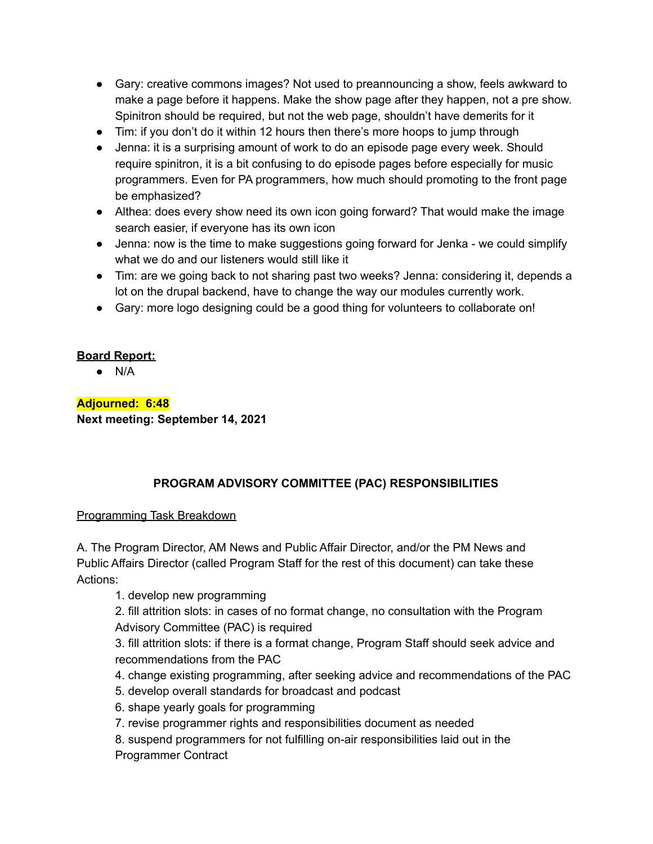- Gary: creative commons images? Not used to preannouncing a show, feels awkward to make a page before it happens. Make the show page after they happen, not a pre show. Spinitron should be required, but not the web page, shouldn't have demerits for it
- Tim: if you don't do it within 12 hours then there's more hoops to jump through
- Jenna: it is a surprising amount of work to do an episode page every week. Should require spinitron, it is a bit confusing to do episode pages before especially for music programmers. Even for PA programmers, how much should promoting to the front page be emphasized?
- Althea: does every show need its own icon going forward? That would make the image search easier, if everyone has its own icon
- Jenna: now is the time to make suggestions going forward for Jenka we could simplify what we do and our listeners would still like it
- Tim: are we going back to not sharing past two weeks? Jenna: considering it, depends a lot on the drupal backend, have to change the way our modules currently work.
- Gary: more logo designing could be a good thing for volunteers to collaborate on!

## **Board Report:**

 $\bullet$  N/A

**Adjourned: 6:48**

**Next meeting: September 14, 2021**

## **PROGRAM ADVISORY COMMITTEE (PAC) RESPONSIBILITIES**

## Programming Task Breakdown

A. The Program Director, AM News and Public Affair Director, and/or the PM News and Public Affairs Director (called Program Staff for the rest of this document) can take these Actions:

1. develop new programming

2. fill attrition slots: in cases of no format change, no consultation with the Program Advisory Committee (PAC) is required

3. fill attrition slots: if there is a format change, Program Staff should seek advice and recommendations from the PAC

- 4. change existing programming, after seeking advice and recommendations of the PAC
- 5. develop overall standards for broadcast and podcast
- 6. shape yearly goals for programming
- 7. revise programmer rights and responsibilities document as needed
- 8. suspend programmers for not fulfilling on-air responsibilities laid out in the
- Programmer Contract